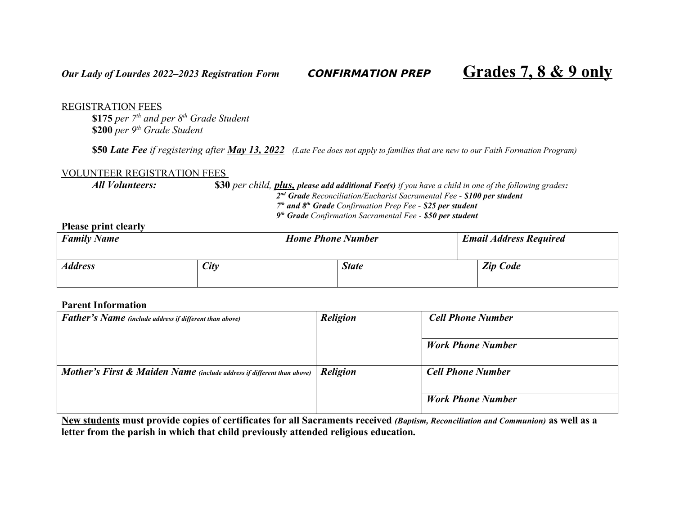## REGISTRATION FEES

**\$175** *per 7th and per 8th Grade Student* **\$200** *per 9th Grade Student*

**\$50** *Late Fee if registering after May 13, 2022 (Late Fee does not apply to families that are new to our Faith Formation Program)* 

## VOLUNTEER REGISTRATION FEES

*All Volunteers:* **\$30** *per child, plus, please add additional Fee(s) if you have a child in one of the following grades:*

*2 nd Grade Reconciliation/Eucharist Sacramental Fee - \$100 per student*

*7 th and 8th Grade Confirmation Prep Fee - \$25 per student*

*9 th Grade Confirmation Sacramental Fee - \$50 per student*

## **Please print clearly**

| <b>Family Name</b>    |      | <b>Home Phone Number</b> |              | <b>Email Address Required</b> |
|-----------------------|------|--------------------------|--------------|-------------------------------|
| <i><b>Address</b></i> | City |                          | <b>State</b> | <b>Zip Code</b>               |

### **Parent Information**

| <b>Father's Name</b> (include address if different than above)                    | <b>Religion</b> | <b>Cell Phone Number</b> |
|-----------------------------------------------------------------------------------|-----------------|--------------------------|
|                                                                                   |                 | <b>Work Phone Number</b> |
| <b>Mother's First &amp; Maiden Name</b> (include address if different than above) | <b>Religion</b> | <b>Cell Phone Number</b> |
|                                                                                   |                 | <b>Work Phone Number</b> |

**New students must provide copies of certificates for all Sacraments received** *(Baptism, Reconciliation and Communion)* **as well as a letter from the parish in which that child previously attended religious education***.*